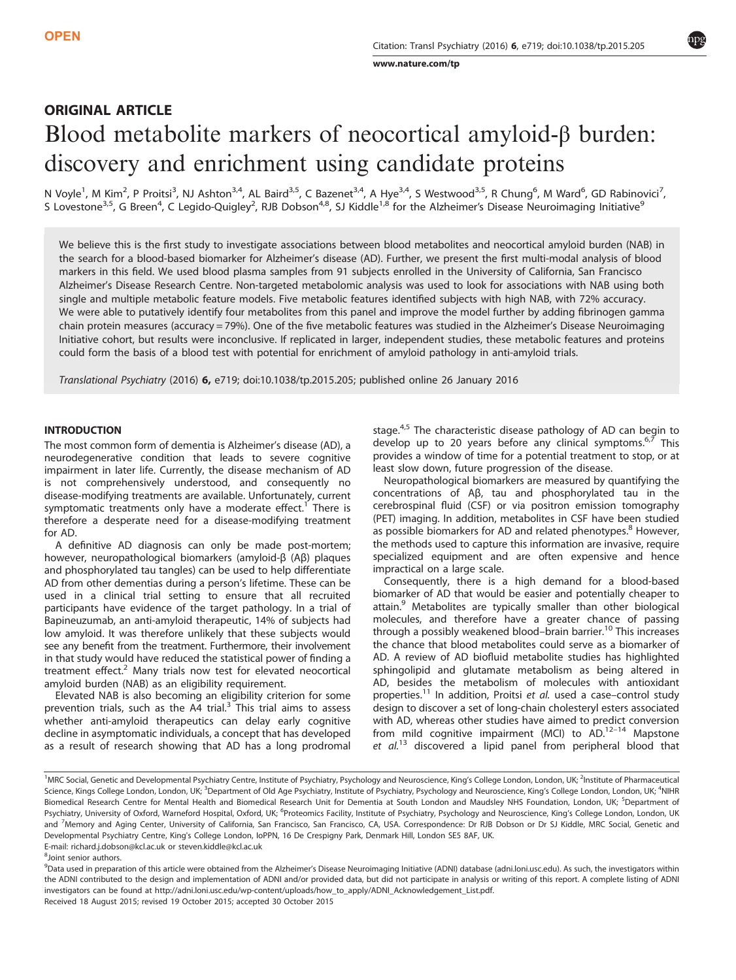[www.nature.com/tp](http://www.nature.com/tp)

# ORIGINAL ARTICLE Blood metabolite markers of neocortical amyloid-β burden: discovery and enrichment using candidate proteins

N Voyle<sup>1</sup>, M Kim<sup>2</sup>, P Proitsi<sup>3</sup>, NJ Ashton<sup>3,4</sup>, AL Baird<sup>3,5</sup>, C Bazenet<sup>3,4</sup>, A Hye<sup>3,4</sup>, S Westwood<sup>3,5</sup>, R Chung<sup>6</sup>, M Ward<sup>6</sup>, GD Rabinovici<sup>7</sup>, S Lovestone<sup>3,5</sup>, G Breen<sup>4</sup>, C Legido-Quigley<sup>2</sup>, RJB Dobson<sup>4,8</sup>, SJ Kiddle<sup>1,8</sup> for the Alzheimer's Disease Neuroimaging Initiative<sup>9</sup>

We believe this is the first study to investigate associations between blood metabolites and neocortical amyloid burden (NAB) in the search for a blood-based biomarker for Alzheimer's disease (AD). Further, we present the first multi-modal analysis of blood markers in this field. We used blood plasma samples from 91 subjects enrolled in the University of California, San Francisco Alzheimer's Disease Research Centre. Non-targeted metabolomic analysis was used to look for associations with NAB using both single and multiple metabolic feature models. Five metabolic features identified subjects with high NAB, with 72% accuracy. We were able to putatively identify four metabolites from this panel and improve the model further by adding fibrinogen gamma chain protein measures (accuracy = 79%). One of the five metabolic features was studied in the Alzheimer's Disease Neuroimaging Initiative cohort, but results were inconclusive. If replicated in larger, independent studies, these metabolic features and proteins could form the basis of a blood test with potential for enrichment of amyloid pathology in anti-amyloid trials.

Translational Psychiatry (2016) 6, e719; doi:10.1038/tp.2015.205; published online 26 January 2016

## INTRODUCTION

The most common form of dementia is Alzheimer's disease (AD), a neurodegenerative condition that leads to severe cognitive impairment in later life. Currently, the disease mechanism of AD is not comprehensively understood, and consequently no disease-modifying treatments are available. Unfortunately, current symptomatic treatments only have a moderate effect.<sup>[1](#page-6-0)</sup> There is therefore a desperate need for a disease-modifying treatment for AD.

A definitive AD diagnosis can only be made post-mortem; however, neuropathological biomarkers (amyloid-β (Aβ) plaques and phosphorylated tau tangles) can be used to help differentiate AD from other dementias during a person's lifetime. These can be used in a clinical trial setting to ensure that all recruited participants have evidence of the target pathology. In a trial of Bapineuzumab, an anti-amyloid therapeutic, 14% of subjects had low amyloid. It was therefore unlikely that these subjects would see any benefit from the treatment. Furthermore, their involvement in that study would have reduced the statistical power of finding a treatment effect.<sup>[2](#page-6-0)</sup> Many trials now test for elevated neocortical amyloid burden (NAB) as an eligibility requirement.

Elevated NAB is also becoming an eligibility criterion for some prevention trials, such as the  $A4$  trial.<sup>[3](#page-6-0)</sup> This trial aims to assess whether anti-amyloid therapeutics can delay early cognitive decline in asymptomatic individuals, a concept that has developed as a result of research showing that AD has a long prodromal stage. $4.5$  $4.5$  $4.5$  The characteristic disease pathology of AD can begin to develop up to 20 years before any clinical symptoms. $6,7$  $6,7$  $6,7$  This provides a window of time for a potential treatment to stop, or at least slow down, future progression of the disease.

Neuropathological biomarkers are measured by quantifying the concentrations of Aβ, tau and phosphorylated tau in the cerebrospinal fluid (CSF) or via positron emission tomography (PET) imaging. In addition, metabolites in CSF have been studied as possible biomarkers for AD and related phenotypes.<sup>[8](#page-6-0)</sup> However, the methods used to capture this information are invasive, require specialized equipment and are often expensive and hence impractical on a large scale.

Consequently, there is a high demand for a blood-based biomarker of AD that would be easier and potentially cheaper to attain.<sup>9</sup> Metabolites are typically smaller than other biological molecules, and therefore have a greater chance of passing through a possibly weakened blood–brain barrier.<sup>[10](#page-6-0)</sup> This increases the chance that blood metabolites could serve as a biomarker of AD. A review of AD biofluid metabolite studies has highlighted sphingolipid and glutamate metabolism as being altered in AD, besides the metabolism of molecules with antioxidant properties.<sup>[11](#page-6-0)</sup> In addition, Proitsi et al. used a case-control study design to discover a set of long-chain cholesteryl esters associated with AD, whereas other studies have aimed to predict conversion from mild cognitive impairment (MCI) to  $AD.^{12-14}$  $AD.^{12-14}$  $AD.^{12-14}$  Mapstone et  $al^{13}$  $al^{13}$  $al^{13}$  discovered a lipid panel from peripheral blood that

<sup>&</sup>lt;sup>1</sup>MRC Social, Genetic and Developmental Psychiatry Centre, Institute of Psychiatry, Psychology and Neuroscience, King's College London, London, UK; <sup>2</sup>Institute of Pharmaceutical Science, Kings College London, London, UK; <sup>3</sup>Department of Old Age Psychiatry, Institute of Psychiatry, Psychology and Neuroscience, King's College London, London, UK; <sup>4</sup>NIHR Biomedical Research Centre for Mental Health and Biomedical Research Unit for Dementia at South London and Maudsley NHS Foundation, London, UK; <sup>5</sup>Department of Psychiatry, University of Oxford, Warneford Hospital, Oxford, UK; <sup>6</sup>Proteomics Facility, Institute of Psychiatry, Psychology and Neuroscience, King's College London, London, UK and <sup>7</sup>Memory and Aging Center, University of California, San Francisco, San Francisco, CA, USA. Correspondence: Dr RJB Dobson or Dr SJ Kiddle, MRC Social, Genetic and Developmental Psychiatry Centre, King's College London, IoPPN, 16 De Crespigny Park, Denmark Hill, London SE5 8AF, UK. E-mail: [richard.j.dobson@kcl.ac.uk](mailto:richard.j.dobson@kcl.ac.uk) or [steven.kiddle@kcl.ac.uk](mailto:steven.kiddle@kcl.ac.uk)

<sup>8</sup> Joint senior authors.

<sup>&</sup>lt;sup>9</sup>Data used in preparation of this article were obtained from the Alzheimer's Disease Neuroimaging Initiative (ADNI) database (adni.loni.usc.edu). As such, the investigators within the ADNI contributed to the design and implementation of ADNI and/or provided data, but did not participate in analysis or writing of this report. A complete listing of ADNI investigators can be found at http://adni.loni.usc.edu/wp-content/uploads/how\_to\_apply/ADNI\_Acknowledgement\_List.pdf. Received 18 August 2015; revised 19 October 2015; accepted 30 October 2015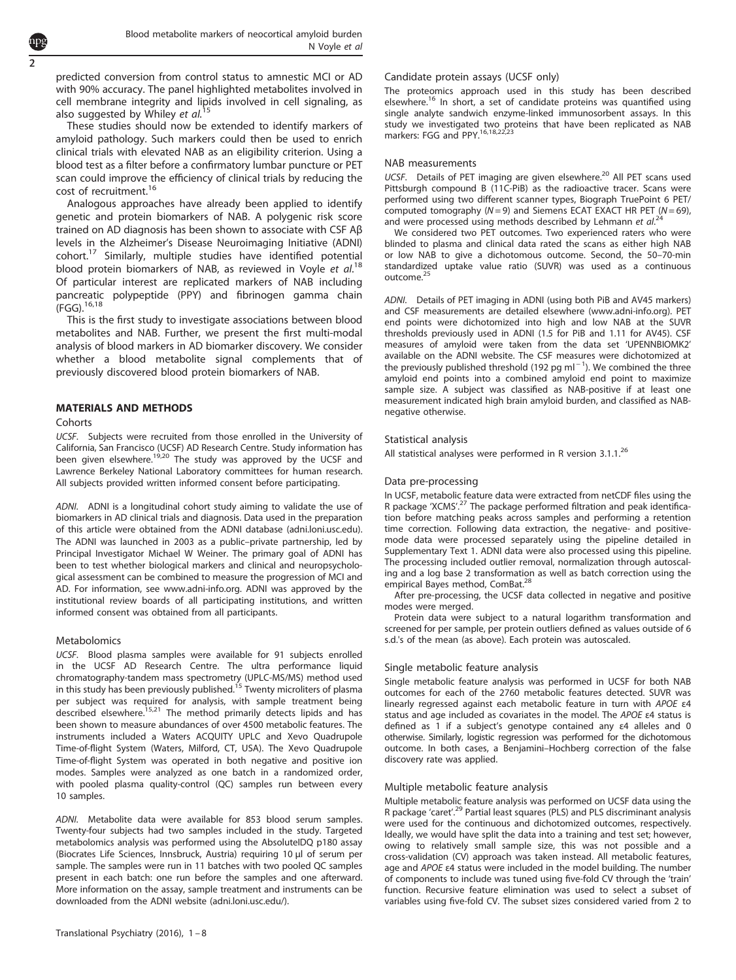predicted conversion from control status to amnestic MCI or AD with 90% accuracy. The panel highlighted metabolites involved in cell membrane integrity and lipids involved in cell signaling, as also suggested by Whiley et al.<sup>[15](#page-7-0)</sup>

These studies should now be extended to identify markers of amyloid pathology. Such markers could then be used to enrich clinical trials with elevated NAB as an eligibility criterion. Using a blood test as a filter before a confirmatory lumbar puncture or PET scan could improve the efficiency of clinical trials by reducing the cost of recruitment.<sup>[16](#page-7-0)</sup>

Analogous approaches have already been applied to identify genetic and protein biomarkers of NAB. A polygenic risk score trained on AD diagnosis has been shown to associate with CSF Aβ levels in the Alzheimer's Disease Neuroimaging Initiative (ADNI) cohort.[17](#page-7-0) Similarly, multiple studies have identified potential blood protein biomarkers of NAB, as reviewed in Voyle et al.<sup>[18](#page-7-0)</sup> Of particular interest are replicated markers of NAB including pancreatic polypeptide (PPY) and fibrinogen gamma chain (FGG).[16,18](#page-7-0)

This is the first study to investigate associations between blood metabolites and NAB. Further, we present the first multi-modal analysis of blood markers in AD biomarker discovery. We consider whether a blood metabolite signal complements that of previously discovered blood protein biomarkers of NAB.

#### MATERIALS AND METHODS

#### Cohorts

2

UCSF. Subjects were recruited from those enrolled in the University of California, San Francisco (UCSF) AD Research Centre. Study information has been given elsewhere.<sup>[19,20](#page-7-0)</sup> The study was approved by the UCSF and Lawrence Berkeley National Laboratory committees for human research. All subjects provided written informed consent before participating.

ADNI. ADNI is a longitudinal cohort study aiming to validate the use of biomarkers in AD clinical trials and diagnosis. Data used in the preparation of this article were obtained from the ADNI database (adni.loni.usc.edu). The ADNI was launched in 2003 as a public–private partnership, led by Principal Investigator Michael W Weiner. The primary goal of ADNI has been to test whether biological markers and clinical and neuropsychological assessment can be combined to measure the progression of MCI and AD. For information, see<www.adni-info.org>. ADNI was approved by the institutional review boards of all participating institutions, and written informed consent was obtained from all participants.

#### Metabolomics

UCSF. Blood plasma samples were available for 91 subjects enrolled in the UCSF AD Research Centre. The ultra performance liquid chromatography-tandem mass spectrometry (UPLC-MS/MS) method used in this study has been previously published.<sup>15</sup> Twenty microliters of plasma per subject was required for analysis, with sample treatment being described elsewhere.<sup>15,21</sup> The method primarily detects lipids and has been shown to measure abundances of over 4500 metabolic features. The instruments included a Waters ACQUITY UPLC and Xevo Quadrupole Time-of-flight System (Waters, Milford, CT, USA). The Xevo Quadrupole Time-of-flight System was operated in both negative and positive ion modes. Samples were analyzed as one batch in a randomized order, with pooled plasma quality-control (QC) samples run between every 10 samples.

ADNI. Metabolite data were available for 853 blood serum samples. Twenty-four subjects had two samples included in the study. Targeted metabolomics analysis was performed using the AbsoluteIDQ p180 assay (Biocrates Life Sciences, Innsbruck, Austria) requiring 10 μl of serum per sample. The samples were run in 11 batches with two pooled QC samples present in each batch: one run before the samples and one afterward. More information on the assay, sample treatment and instruments can be downloaded from the ADNI website [\(adni.loni.usc.edu/](adni.loni.usc.edu/)).

The proteomics approach used in this study has been described elsewhere.<sup>[16](#page-7-0)</sup> In short, a set of candidate proteins was quantified using single analyte sandwich enzyme-linked immunosorbent assays. In this study we investigated two proteins that have been replicated as NAB<br>markers: FGG and PPY.<sup>16,[18,22,23](#page-7-0)</sup>

#### NAB measurements

UCSF. Details of PET imaging are given elsewhere.<sup>20</sup> All PET scans used Pittsburgh compound B (11C-PiB) as the radioactive tracer. Scans were performed using two different scanner types, Biograph TruePoint 6 PET/ computed tomography ( $N = 9$ ) and Siemens ECAT EXACT HR PET ( $N = 69$ ), and were processed using methods described by Lehmann et  $al^{24}$  $al^{24}$  $al^{24}$ 

We considered two PET outcomes. Two experienced raters who were blinded to plasma and clinical data rated the scans as either high NAB or low NAB to give a dichotomous outcome. Second, the 50–70-min standardized uptake value ratio (SUVR) was used as a continuous outcome.<sup>[25](#page-7-0)</sup>

ADNI. Details of PET imaging in ADNI (using both PiB and AV45 markers) and CSF measurements are detailed elsewhere (<www.adni-info.org>). PET end points were dichotomized into high and low NAB at the SUVR thresholds previously used in ADNI (1.5 for PiB and 1.11 for AV45). CSF measures of amyloid were taken from the data set 'UPENNBIOMK2' available on the ADNI website. The CSF measures were dichotomized at the previously published threshold (192 pg ml<sup>-1</sup>). We combined the three amyloid end points into a combined amyloid end point to maximize sample size. A subject was classified as NAB-positive if at least one measurement indicated high brain amyloid burden, and classified as NABnegative otherwise.

#### Statistical analysis

All statistical analyses were performed in R version 3.1.1.<sup>26</sup>

#### Data pre-processing

In UCSF, metabolic feature data were extracted from netCDF files using the R package 'XCMS'.<sup>[27](#page-7-0)</sup> The package performed filtration and peak identification before matching peaks across samples and performing a retention time correction. Following data extraction, the negative- and positivemode data were processed separately using the pipeline detailed in Supplementary Text 1. ADNI data were also processed using this pipeline. The processing included outlier removal, normalization through autoscaling and a log base 2 transformation as well as batch correction using the empirical Bayes method, ComBat.<sup>28</sup>

After pre-processing, the UCSF data collected in negative and positive modes were merged.

Protein data were subject to a natural logarithm transformation and screened for per sample, per protein outliers defined as values outside of 6 s.d.'s of the mean (as above). Each protein was autoscaled.

#### Single metabolic feature analysis

Single metabolic feature analysis was performed in UCSF for both NAB outcomes for each of the 2760 metabolic features detected. SUVR was linearly regressed against each metabolic feature in turn with APOE ε4 status and age included as covariates in the model. The APOE ε4 status is defined as 1 if a subject's genotype contained any ε4 alleles and 0 otherwise. Similarly, logistic regression was performed for the dichotomous outcome. In both cases, a Benjamini–Hochberg correction of the false discovery rate was applied.

#### Multiple metabolic feature analysis

Multiple metabolic feature analysis was performed on UCSF data using the R package 'caret'.<sup>[29](#page-7-0)</sup> Partial least squares (PLS) and PLS discriminant analysis were used for the continuous and dichotomized outcomes, respectively. Ideally, we would have split the data into a training and test set; however, owing to relatively small sample size, this was not possible and a cross-validation (CV) approach was taken instead. All metabolic features, age and APOE ε4 status were included in the model building. The number of components to include was tuned using five-fold CV through the 'train' function. Recursive feature elimination was used to select a subset of variables using five-fold CV. The subset sizes considered varied from 2 to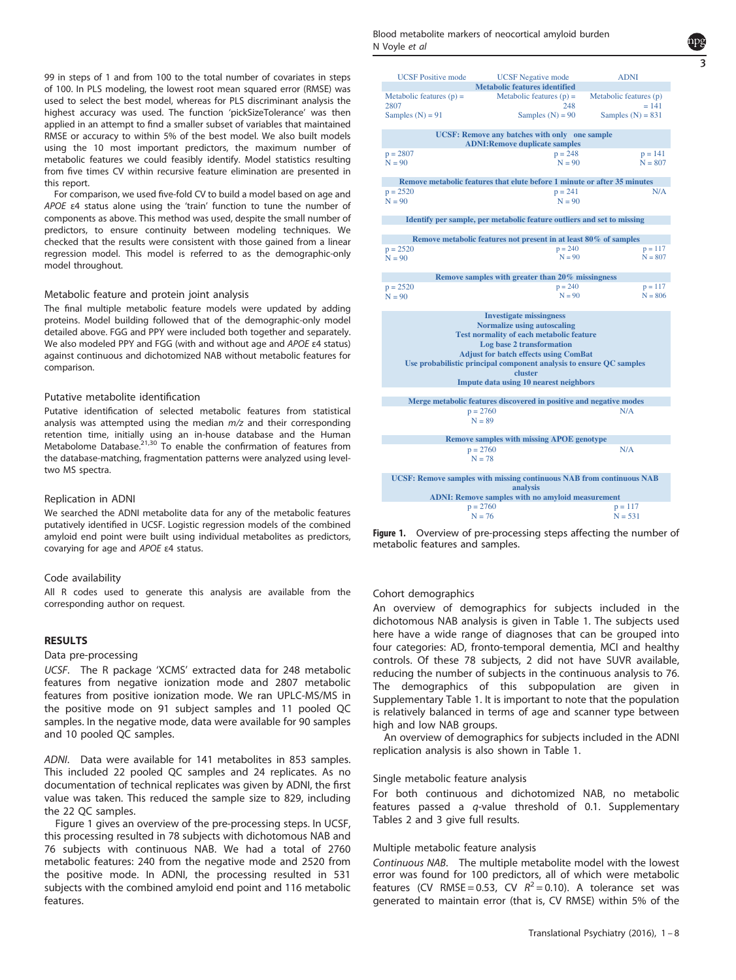99 in steps of 1 and from 100 to the total number of covariates in steps of 100. In PLS modeling, the lowest root mean squared error (RMSE) was used to select the best model, whereas for PLS discriminant analysis the highest accuracy was used. The function 'pickSizeTolerance' was then applied in an attempt to find a smaller subset of variables that maintained RMSE or accuracy to within 5% of the best model. We also built models using the 10 most important predictors, the maximum number of metabolic features we could feasibly identify. Model statistics resulting from five times CV within recursive feature elimination are presented in this report.

For comparison, we used five-fold CV to build a model based on age and APOE ε4 status alone using the 'train' function to tune the number of components as above. This method was used, despite the small number of predictors, to ensure continuity between modeling techniques. We checked that the results were consistent with those gained from a linear regression model. This model is referred to as the demographic-only model throughout.

#### Metabolic feature and protein joint analysis

The final multiple metabolic feature models were updated by adding proteins. Model building followed that of the demographic-only model detailed above. FGG and PPY were included both together and separately. We also modeled PPY and FGG (with and without age and APOE ε4 status) against continuous and dichotomized NAB without metabolic features for comparison.

#### Putative metabolite identification

Putative identification of selected metabolic features from statistical analysis was attempted using the median  $m/z$  and their corresponding retention time, initially using an in-house database and the Human Metabolome Database.<sup>[21,30](#page-7-0)</sup> To enable the confirmation of features from the database-matching, fragmentation patterns were analyzed using leveltwo MS spectra.

#### Replication in ADNI

We searched the ADNI metabolite data for any of the metabolic features putatively identified in UCSF. Logistic regression models of the combined amyloid end point were built using individual metabolites as predictors, covarying for age and APOE ε4 status.

#### Code availability

All R codes used to generate this analysis are available from the corresponding author on request.

## RESULTS

#### Data pre-processing

UCSF. The R package 'XCMS' extracted data for 248 metabolic features from negative ionization mode and 2807 metabolic features from positive ionization mode. We ran UPLC-MS/MS in the positive mode on 91 subject samples and 11 pooled QC samples. In the negative mode, data were available for 90 samples and 10 pooled QC samples.

ADNI. Data were available for 141 metabolites in 853 samples. This included 22 pooled QC samples and 24 replicates. As no documentation of technical replicates was given by ADNI, the first value was taken. This reduced the sample size to 829, including the 22 QC samples.

Figure 1 gives an overview of the pre-processing steps. In UCSF, this processing resulted in 78 subjects with dichotomous NAB and 76 subjects with continuous NAB. We had a total of 2760 metabolic features: 240 from the negative mode and 2520 from the positive mode. In ADNI, the processing resulted in 531 subjects with the combined amyloid end point and 116 metabolic features.

Blood metabolite markers of neocortical amyloid burden N Voyle et al

| <b>UCSF Positive mode</b>  | <b>UCSF</b> Negative mode                                                                    | <b>ADNI</b>            |
|----------------------------|----------------------------------------------------------------------------------------------|------------------------|
|                            | <b>Metabolic features identified</b>                                                         |                        |
| Metabolic features $(p)$ = | Metabolic features $(p)$ =                                                                   | Metabolic features (p) |
| 2807                       | 248                                                                                          | $= 141$                |
| Samples $(N) = 91$         | Samples $(N) = 90$                                                                           | Samples $(N) = 831$    |
|                            | <b>UCSF:</b> Remove any batches with only one sample<br><b>ADNI:Remove duplicate samples</b> |                        |
| $p = 2807$                 | $p = 248$                                                                                    | $p = 141$              |
| $N = 90$                   | $N = 90$                                                                                     | $N = 807$              |
|                            | Remove metabolic features that elute before 1 minute or after 35 minutes                     |                        |
| $p = 2520$                 | $p = 241$                                                                                    | N/A                    |
| $N = 90$                   | $N = 90$                                                                                     |                        |
|                            |                                                                                              |                        |
|                            | Identify per sample, per metabolic feature outliers and set to missing                       |                        |
|                            | Remove metabolic features not present in at least 80% of samples                             |                        |
| $p = 2520$                 | $p = 240$                                                                                    | $p = 117$              |
| $N = 90$                   | $N = 90$                                                                                     | $N = 807$              |
|                            | Remove samples with greater than 20% missingness                                             |                        |
| $p = 2520$                 | $p = 240$                                                                                    | $p = 117$              |
| $N = 90$                   | $N = 90$                                                                                     | $N = 806$              |
|                            | <b>Investigate missingness</b>                                                               |                        |
|                            | Normalize using autoscaling                                                                  |                        |
|                            | <b>Test normality of each metabolic feature</b>                                              |                        |
|                            | Log base 2 transformation                                                                    |                        |
|                            | <b>Adjust for batch effects using ComBat</b>                                                 |                        |
|                            | Use probabilistic principal component analysis to ensure OC samples                          |                        |
|                            | cluster                                                                                      |                        |
|                            | <b>Impute data using 10 nearest neighbors</b>                                                |                        |
|                            | Merge metabolic features discovered in positive and negative modes                           |                        |
|                            | $p = 2760$                                                                                   | N/A                    |
|                            | $N = 89$                                                                                     |                        |
|                            | <b>Remove samples with missing APOE genotype</b>                                             |                        |
|                            | $p = 2760$                                                                                   | N/A                    |
|                            | $N = 78$                                                                                     |                        |
|                            | <b>UCSF:</b> Remove samples with missing continuous NAB from continuous NAB<br>analysis      |                        |
|                            |                                                                                              |                        |
|                            | <b>ADNI: Remove samples with no amyloid measurement</b>                                      |                        |
|                            | $p = 2760$<br>$N = 76$                                                                       | $p = 117$<br>$N = 531$ |

Figure 1. Overview of pre-processing steps affecting the number of metabolic features and samples.

#### Cohort demographics

An overview of demographics for subjects included in the dichotomous NAB analysis is given in [Table 1.](#page-3-0) The subjects used here have a wide range of diagnoses that can be grouped into four categories: AD, fronto-temporal dementia, MCI and healthy controls. Of these 78 subjects, 2 did not have SUVR available, reducing the number of subjects in the continuous analysis to 76. The demographics of this subpopulation are given in Supplementary Table 1. It is important to note that the population is relatively balanced in terms of age and scanner type between high and low NAB groups.

An overview of demographics for subjects included in the ADNI replication analysis is also shown in [Table 1](#page-3-0).

#### Single metabolic feature analysis

For both continuous and dichotomized NAB, no metabolic features passed a q-value threshold of 0.1. Supplementary Tables 2 and 3 give full results.

#### Multiple metabolic feature analysis

Continuous NAB. The multiple metabolite model with the lowest error was found for 100 predictors, all of which were metabolic features (CV RMSE = 0.53, CV  $R^2$  = 0.10). A tolerance set was generated to maintain error (that is, CV RMSE) within 5% of the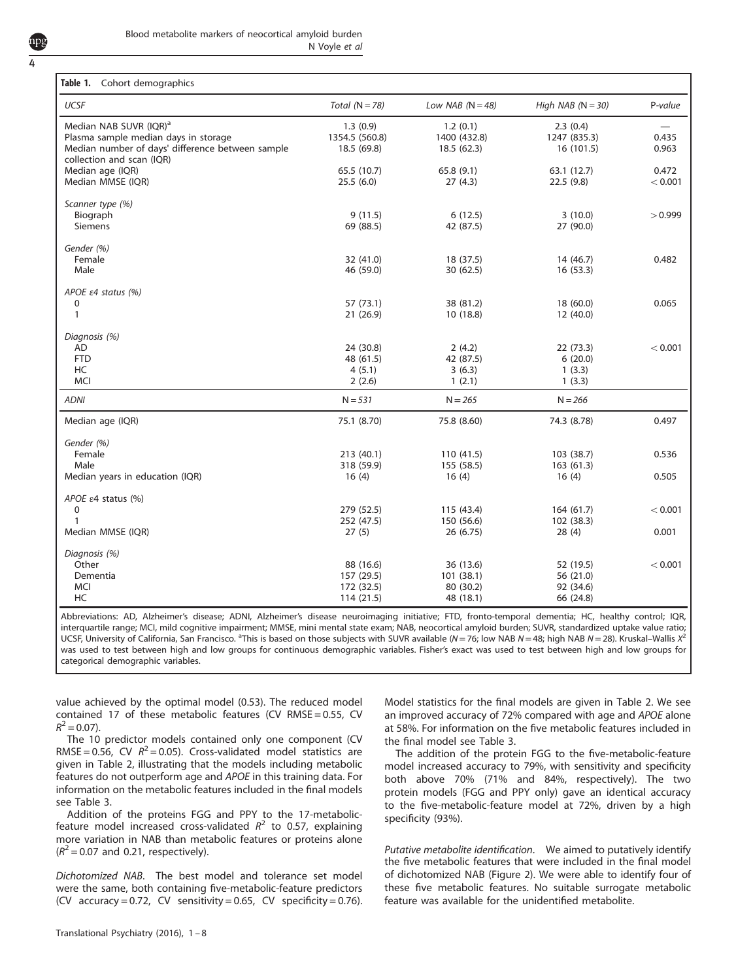<span id="page-3-0"></span>4

| Table 1. Cohort demographics                                                  |                          |                        |                        |         |
|-------------------------------------------------------------------------------|--------------------------|------------------------|------------------------|---------|
| <b>UCSF</b>                                                                   | Total $(N = 78)$         | Low NAB $(N = 48)$     | High NAB $(N = 30)$    | P-value |
| Median NAB SUVR (IQR) <sup>a</sup>                                            | 1.3(0.9)                 | 1.2(0.1)               | 2.3(0.4)               |         |
| Plasma sample median days in storage                                          | 1354.5 (560.8)           | 1400 (432.8)           | 1247 (835.3)           | 0.435   |
| Median number of days' difference between sample<br>collection and scan (IQR) | 18.5 (69.8)              | 18.5 (62.3)            | 16 (101.5)             | 0.963   |
| Median age (IQR)                                                              | 65.5 (10.7)              | 65.8(9.1)              | 63.1 (12.7)            | 0.472   |
| Median MMSE (IQR)                                                             | 25.5(6.0)                | 27(4.3)                | 22.5(9.8)              | < 0.001 |
| Scanner type (%)                                                              |                          |                        |                        |         |
| Biograph                                                                      | 9(11.5)                  | 6(12.5)                | 3(10.0)                | >0.999  |
| Siemens                                                                       | 69 (88.5)                | 42 (87.5)              | 27 (90.0)              |         |
| Gender (%)                                                                    |                          |                        |                        |         |
| Female                                                                        | 32 (41.0)                | 18 (37.5)              | 14 (46.7)              | 0.482   |
| Male                                                                          | 46 (59.0)                | 30 (62.5)              | 16 (53.3)              |         |
| APOE $\epsilon$ 4 status (%)                                                  |                          |                        |                        |         |
| 0                                                                             | 57 (73.1)                | 38 (81.2)              | 18 (60.0)              | 0.065   |
| $\mathbf{1}$                                                                  | 21 (26.9)                | 10 (18.8)              | 12 (40.0)              |         |
| Diagnosis (%)                                                                 |                          |                        |                        |         |
| AD                                                                            | 24 (30.8)                | 2(4.2)                 | 22 (73.3)              | < 0.001 |
| <b>FTD</b><br>HC                                                              | 48 (61.5)<br>4(5.1)      | 42 (87.5)<br>3(6.3)    | 6(20.0)<br>1(3.3)      |         |
| <b>MCI</b>                                                                    | 2(2.6)                   | 1(2.1)                 | 1(3.3)                 |         |
| <b>ADNI</b>                                                                   | $N = 531$                | $N = 265$              | $N = 266$              |         |
| Median age (IQR)                                                              | 75.1 (8.70)              | 75.8 (8.60)            | 74.3 (8.78)            | 0.497   |
| Gender (%)                                                                    |                          |                        |                        |         |
| Female                                                                        | 213 (40.1)               | 110 (41.5)             | 103 (38.7)             | 0.536   |
| Male                                                                          | 318 (59.9)               | 155 (58.5)             | 163(61.3)              |         |
| Median years in education (IQR)                                               | 16(4)                    | 16(4)                  | 16(4)                  | 0.505   |
| APOE $\epsilon$ 4 status (%)                                                  |                          |                        |                        |         |
| 0                                                                             | 279 (52.5)               | 115 (43.4)             | 164 (61.7)             | < 0.001 |
| $\mathbf{1}$                                                                  | 252 (47.5)               | 150 (56.6)             | 102 (38.3)             |         |
| Median MMSE (IQR)                                                             | 27(5)                    | 26 (6.75)              | 28(4)                  | 0.001   |
| Diagnosis (%)                                                                 |                          |                        |                        |         |
| Other                                                                         | 88 (16.6)                | 36 (13.6)              | 52 (19.5)              | < 0.001 |
| Dementia                                                                      | 157 (29.5)               | 101(38.1)              | 56 (21.0)              |         |
| <b>MCI</b><br>HC                                                              | 172 (32.5)<br>114 (21.5) | 80 (30.2)<br>48 (18.1) | 92 (34.6)<br>66 (24.8) |         |
|                                                                               |                          |                        |                        |         |

Abbreviations: AD, Alzheimer's disease; ADNI, Alzheimer's disease neuroimaging initiative; FTD, fronto-temporal dementia; HC, healthy control; IQR, interquartile range; MCI, mild cognitive impairment; MMSE, mini mental state exam; NAB, neocortical amyloid burden; SUVR, standardized uptake value ratio; UCSF, University of California, San Francisco. <sup>a</sup>This is based on those subjects with SUVR available (N = 76; low NAB N = 48; high NAB N = 28). Kruskal–Wallis X<sup>2</sup> was used to test between high and low groups for continuous demographic variables. Fisher's exact was used to test between high and low groups for categorical demographic variables.

value achieved by the optimal model (0.53). The reduced model contained 17 of these metabolic features (CV RMSE =  $0.55$ , CV  $R^2$  = 0.07).

The 10 predictor models contained only one component (CV RMSE = 0.56, CV  $R^2$  = 0.05). Cross-validated model statistics are given in [Table 2](#page-4-0), illustrating that the models including metabolic features do not outperform age and APOE in this training data. For information on the metabolic features included in the final models see [Table 3.](#page-4-0)

Addition of the proteins FGG and PPY to the 17-metabolicfeature model increased cross-validated  $R^2$  to 0.57, explaining more variation in NAB than metabolic features or proteins alone  $(R^2 = 0.07$  and 0.21, respectively).

Dichotomized NAB. The best model and tolerance set model were the same, both containing five-metabolic-feature predictors (CV accuracy = 0.72, CV sensitivity = 0.65, CV specificity = 0.76).

Translational Psychiatry (2016), 1 – 8

Model statistics for the final models are given in [Table 2](#page-4-0). We see an improved accuracy of 72% compared with age and APOE alone at 58%. For information on the five metabolic features included in the final model see [Table 3.](#page-4-0)

The addition of the protein FGG to the five-metabolic-feature model increased accuracy to 79%, with sensitivity and specificity both above 70% (71% and 84%, respectively). The two protein models (FGG and PPY only) gave an identical accuracy to the five-metabolic-feature model at 72%, driven by a high specificity (93%).

Putative metabolite identification. We aimed to putatively identify the five metabolic features that were included in the final model of dichotomized NAB [\(Figure 2](#page-5-0)). We were able to identify four of these five metabolic features. No suitable surrogate metabolic feature was available for the unidentified metabolite.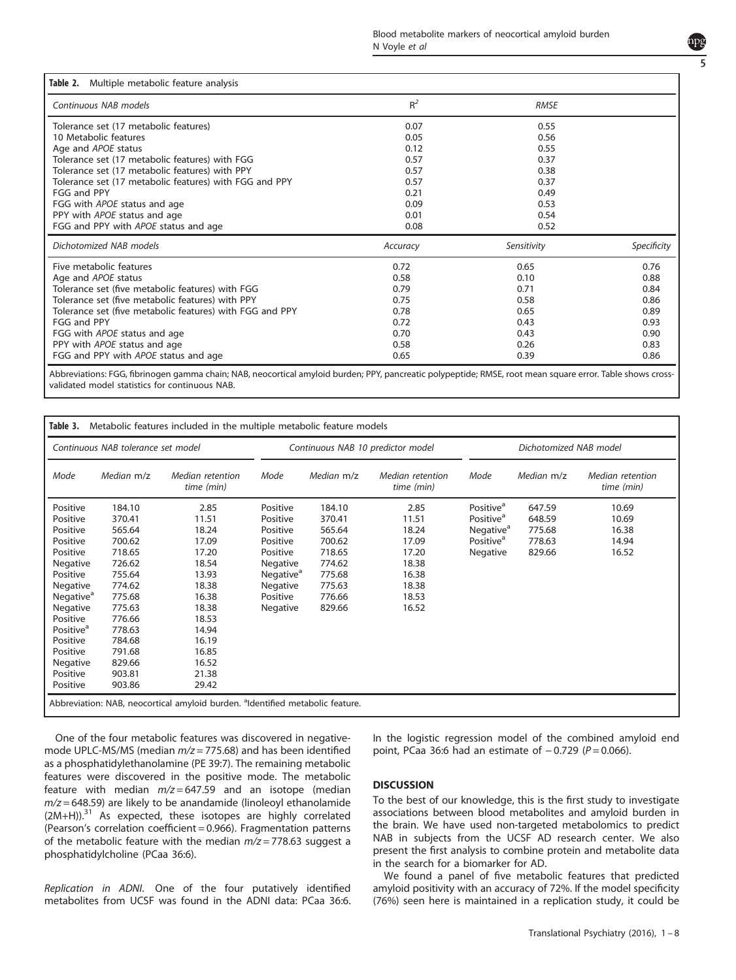<span id="page-4-0"></span>

|                                                          | N Voyle et al |             |             |  |
|----------------------------------------------------------|---------------|-------------|-------------|--|
| Table 2.<br>Multiple metabolic feature analysis          |               |             |             |  |
| Continuous NAB models                                    | $R^2$         | <b>RMSE</b> |             |  |
| Tolerance set (17 metabolic features)                    | 0.07          | 0.55        |             |  |
| 10 Metabolic features                                    | 0.05          | 0.56        |             |  |
| Age and APOE status                                      | 0.12          | 0.55        |             |  |
| Tolerance set (17 metabolic features) with FGG           | 0.57          | 0.37        |             |  |
| Tolerance set (17 metabolic features) with PPY           | 0.57          | 0.38        |             |  |
| Tolerance set (17 metabolic features) with FGG and PPY   | 0.57          | 0.37        |             |  |
| FGG and PPY                                              | 0.21          | 0.49        |             |  |
| FGG with APOE status and age                             | 0.09          | 0.53        |             |  |
| PPY with APOE status and age                             | 0.01          | 0.54        |             |  |
| FGG and PPY with APOE status and age                     | 0.08          | 0.52        |             |  |
| Dichotomized NAB models                                  | Accuracy      | Sensitivity | Specificity |  |
| Five metabolic features                                  | 0.72          | 0.65        | 0.76        |  |
| Age and APOE status                                      | 0.58          | 0.10        | 0.88        |  |
| Tolerance set (five metabolic features) with FGG         | 0.79          | 0.71        | 0.84        |  |
| Tolerance set (five metabolic features) with PPY         | 0.75          | 0.58        | 0.86        |  |
| Tolerance set (five metabolic features) with FGG and PPY | 0.78          | 0.65        | 0.89        |  |
| FGG and PPY                                              | 0.72          | 0.43        | 0.93        |  |

Abbreviations: FGG, fibrinogen gamma chain; NAB, neocortical amyloid burden; PPY, pancreatic polypeptide; RMSE, root mean square error. Table shows crossvalidated model statistics for continuous NAB.

FGG with APOE status and age 0.90 0.70 0.43 0.90 PPY with APOE status and age 0.58 0.26 0.83 FGG and PPY with APOE status and age 0.86 0.55 0.39 0.39 0.86 0.86 0.86 0.86 0.91 0.86

| Continuous NAB tolerance set model |            | Continuous NAB 10 predictor model |                       | Dichotomized NAB model |                                |                       |            |                                |
|------------------------------------|------------|-----------------------------------|-----------------------|------------------------|--------------------------------|-----------------------|------------|--------------------------------|
| Mode                               | Median m/z | Median retention<br>time (min)    | Mode                  | Median m/z             | Median retention<br>time (min) | Mode                  | Median m/z | Median retention<br>time (min) |
| Positive                           | 184.10     | 2.85                              | Positive              | 184.10                 | 2.85                           | Positive <sup>a</sup> | 647.59     | 10.69                          |
| Positive                           | 370.41     | 11.51                             | Positive              | 370.41                 | 11.51                          | Positive <sup>a</sup> | 648.59     | 10.69                          |
| Positive                           | 565.64     | 18.24                             | Positive              | 565.64                 | 18.24                          | Negative <sup>a</sup> | 775.68     | 16.38                          |
| Positive                           | 700.62     | 17.09                             | Positive              | 700.62                 | 17.09                          | Positive <sup>a</sup> | 778.63     | 14.94                          |
| Positive                           | 718.65     | 17.20                             | Positive              | 718.65                 | 17.20                          | Negative              | 829.66     | 16.52                          |
| Negative                           | 726.62     | 18.54                             | Negative              | 774.62                 | 18.38                          |                       |            |                                |
| Positive                           | 755.64     | 13.93                             | Negative <sup>a</sup> | 775.68                 | 16.38                          |                       |            |                                |
| Negative                           | 774.62     | 18.38                             | Negative              | 775.63                 | 18.38                          |                       |            |                                |
| Negative <sup>a</sup>              | 775.68     | 16.38                             | Positive              | 776.66                 | 18.53                          |                       |            |                                |
| Negative                           | 775.63     | 18.38                             | Negative              | 829.66                 | 16.52                          |                       |            |                                |
| Positive                           | 776.66     | 18.53                             |                       |                        |                                |                       |            |                                |
| Positive <sup>a</sup>              | 778.63     | 14.94                             |                       |                        |                                |                       |            |                                |
| Positive                           | 784.68     | 16.19                             |                       |                        |                                |                       |            |                                |
| Positive                           | 791.68     | 16.85                             |                       |                        |                                |                       |            |                                |
| Negative                           | 829.66     | 16.52                             |                       |                        |                                |                       |            |                                |
| Positive                           | 903.81     | 21.38                             |                       |                        |                                |                       |            |                                |
| Positive                           | 903.86     | 29.42                             |                       |                        |                                |                       |            |                                |

One of the four metabolic features was discovered in negativemode UPLC-MS/MS (median  $m/z = 775.68$ ) and has been identified as a phosphatidylethanolamine (PE 39:7). The remaining metabolic features were discovered in the positive mode. The metabolic feature with median  $m/z = 647.59$  and an isotope (median  $m/z = 648.59$ ) are likely to be anandamide (linoleoyl ethanolamide  $(2M+H)$ <sup>[31](#page-7-0)</sup> As expected, these isotopes are highly correlated (Pearson's correlation coefficient = 0.966). Fragmentation patterns of the metabolic feature with the median  $m/z = 778.63$  suggest a phosphatidylcholine (PCaa 36:6).

Replication in ADNI. One of the four putatively identified metabolites from UCSF was found in the ADNI data: PCaa 36:6. In the logistic regression model of the combined amyloid end point, PCaa 36:6 had an estimate of -0.729 (P = 0.066).

## **DISCUSSION**

To the best of our knowledge, this is the first study to investigate associations between blood metabolites and amyloid burden in the brain. We have used non-targeted metabolomics to predict NAB in subjects from the UCSF AD research center. We also present the first analysis to combine protein and metabolite data in the search for a biomarker for AD.

We found a panel of five metabolic features that predicted amyloid positivity with an accuracy of 72%. If the model specificity (76%) seen here is maintained in a replication study, it could be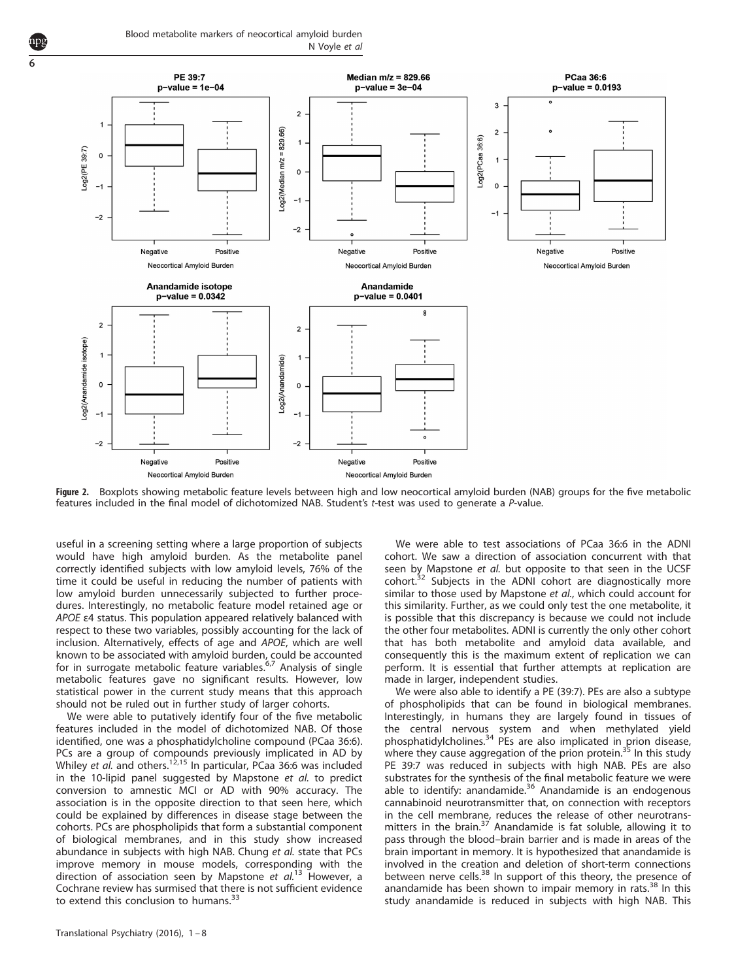<span id="page-5-0"></span>6



Figure 2. Boxplots showing metabolic feature levels between high and low neocortical amyloid burden (NAB) groups for the five metabolic features included in the final model of dichotomized NAB. Student's t-test was used to generate a P-value.

useful in a screening setting where a large proportion of subjects would have high amyloid burden. As the metabolite panel correctly identified subjects with low amyloid levels, 76% of the time it could be useful in reducing the number of patients with low amyloid burden unnecessarily subjected to further procedures. Interestingly, no metabolic feature model retained age or APOE ε4 status. This population appeared relatively balanced with respect to these two variables, possibly accounting for the lack of inclusion. Alternatively, effects of age and APOE, which are well known to be associated with amyloid burden, could be accounted for in surrogate metabolic feature variables.<sup>[6](#page-6-0),[7](#page-6-0)</sup> Analysis of single metabolic features gave no significant results. However, low statistical power in the current study means that this approach should not be ruled out in further study of larger cohorts.

We were able to putatively identify four of the five metabolic features included in the model of dichotomized NAB. Of those identified, one was a phosphatidylcholine compound (PCaa 36:6). PCs are a group of compounds previously implicated in AD by<br>Whiley *et al*. and others.<sup>[12,](#page-6-0)[15](#page-7-0)</sup> In particular, PCaa 36:6 was included in the 10-lipid panel suggested by Mapstone et al. to predict conversion to amnestic MCI or AD with 90% accuracy. The association is in the opposite direction to that seen here, which could be explained by differences in disease stage between the cohorts. PCs are phospholipids that form a substantial component of biological membranes, and in this study show increased abundance in subjects with high NAB. Chung et al. state that PCs improve memory in mouse models, corresponding with the direction of association seen by Mapstone et  $al$ .<sup>[13](#page-7-0)</sup> However, a Cochrane review has surmised that there is not sufficient evidence to extend this conclusion to humans.<sup>[33](#page-7-0)</sup>

We were able to test associations of PCaa 36:6 in the ADNI cohort. We saw a direction of association concurrent with that seen by Mapstone et al. but opposite to that seen in the UCSF cohort.<sup>[32](#page-7-0)</sup> Subjects in the ADNI cohort are diagnostically more similar to those used by Mapstone et al., which could account for this similarity. Further, as we could only test the one metabolite, it is possible that this discrepancy is because we could not include the other four metabolites. ADNI is currently the only other cohort that has both metabolite and amyloid data available, and consequently this is the maximum extent of replication we can perform. It is essential that further attempts at replication are made in larger, independent studies.

We were also able to identify a PE (39:7). PEs are also a subtype of phospholipids that can be found in biological membranes. Interestingly, in humans they are largely found in tissues of the central nervous system and when methylated yield phosphatidylcholines. $34$  PEs are also implicated in prion disease, where they cause aggregation of the prion protein.<sup>[35](#page-7-0)</sup> In this study PE 39:7 was reduced in subjects with high NAB. PEs are also substrates for the synthesis of the final metabolic feature we were able to identify: anandamide.<sup>[36](#page-7-0)</sup> Anandamide is an endogenous cannabinoid neurotransmitter that, on connection with receptors in the cell membrane, reduces the release of other neurotrans-mitters in the brain.<sup>[37](#page-7-0)</sup> Anandamide is fat soluble, allowing it to pass through the blood–brain barrier and is made in areas of the brain important in memory. It is hypothesized that anandamide is involved in the creation and deletion of short-term connections between nerve cells.<sup>[38](#page-7-0)</sup> In support of this theory, the presence of anandamide has been shown to impair memory in rats.<sup>[38](#page-7-0)</sup> In this study anandamide is reduced in subjects with high NAB. This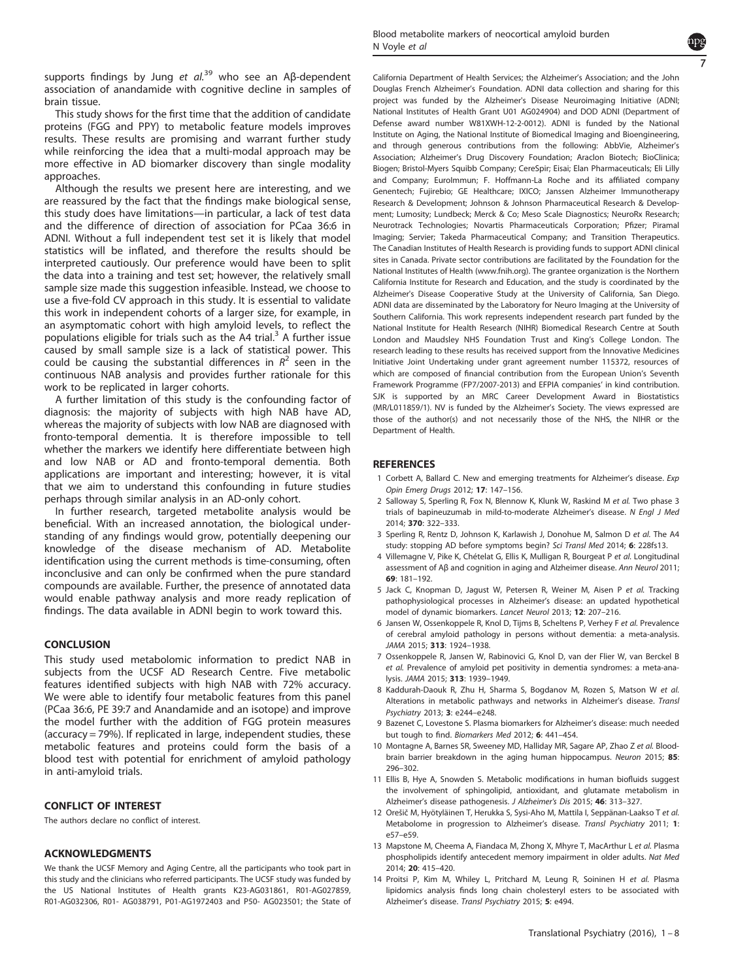

<span id="page-6-0"></span>supports findings by Jung et  $al^{39}$  $al^{39}$  $al^{39}$  who see an Aβ-dependent association of anandamide with cognitive decline in samples of brain tissue.

This study shows for the first time that the addition of candidate proteins (FGG and PPY) to metabolic feature models improves results. These results are promising and warrant further study while reinforcing the idea that a multi-modal approach may be more effective in AD biomarker discovery than single modality approaches.

Although the results we present here are interesting, and we are reassured by the fact that the findings make biological sense, this study does have limitations—in particular, a lack of test data and the difference of direction of association for PCaa 36:6 in ADNI. Without a full independent test set it is likely that model statistics will be inflated, and therefore the results should be interpreted cautiously. Our preference would have been to split the data into a training and test set; however, the relatively small sample size made this suggestion infeasible. Instead, we choose to use a five-fold CV approach in this study. It is essential to validate this work in independent cohorts of a larger size, for example, in an asymptomatic cohort with high amyloid levels, to reflect the populations eligible for trials such as the A4 trial. $3$  A further issue caused by small sample size is a lack of statistical power. This could be causing the substantial differences in  $R^2$  seen in the continuous NAB analysis and provides further rationale for this work to be replicated in larger cohorts.

A further limitation of this study is the confounding factor of diagnosis: the majority of subjects with high NAB have AD, whereas the majority of subjects with low NAB are diagnosed with fronto-temporal dementia. It is therefore impossible to tell whether the markers we identify here differentiate between high and low NAB or AD and fronto-temporal dementia. Both applications are important and interesting; however, it is vital that we aim to understand this confounding in future studies perhaps through similar analysis in an AD-only cohort.

In further research, targeted metabolite analysis would be beneficial. With an increased annotation, the biological understanding of any findings would grow, potentially deepening our knowledge of the disease mechanism of AD. Metabolite identification using the current methods is time-consuming, often inconclusive and can only be confirmed when the pure standard compounds are available. Further, the presence of annotated data would enable pathway analysis and more ready replication of findings. The data available in ADNI begin to work toward this.

# **CONCLUSION**

This study used metabolomic information to predict NAB in subjects from the UCSF AD Research Centre. Five metabolic features identified subjects with high NAB with 72% accuracy. We were able to identify four metabolic features from this panel (PCaa 36:6, PE 39:7 and Anandamide and an isotope) and improve the model further with the addition of FGG protein measures (accuracy = 79%). If replicated in large, independent studies, these metabolic features and proteins could form the basis of a blood test with potential for enrichment of amyloid pathology in anti-amyloid trials.

# CONFLICT OF INTEREST

The authors declare no conflict of interest.

# ACKNOWLEDGMENTS

We thank the UCSF Memory and Aging Centre, all the participants who took part in this study and the clinicians who referred participants. The UCSF study was funded by the US National Institutes of Health grants K23-AG031861, R01-AG027859, R01-AG032306, R01- AG038791, P01-AG1972403 and P50- AG023501; the State of California Department of Health Services; the Alzheimer's Association; and the John Douglas French Alzheimer's Foundation. ADNI data collection and sharing for this project was funded by the Alzheimer's Disease Neuroimaging Initiative (ADNI; National Institutes of Health Grant U01 AG024904) and DOD ADNI (Department of Defense award number W81XWH-12-2-0012). ADNI is funded by the National Institute on Aging, the National Institute of Biomedical Imaging and Bioengineering, and through generous contributions from the following: AbbVie, Alzheimer's Association; Alzheimer's Drug Discovery Foundation; Araclon Biotech; BioClinica; Biogen; Bristol-Myers Squibb Company; CereSpir; Eisai; Elan Pharmaceuticals; Eli Lilly and Company; EuroImmun; F. Hoffmann-La Roche and its affiliated company Genentech; Fujirebio; GE Healthcare; IXICO; Janssen Alzheimer Immunotherapy Research & Development; Johnson & Johnson Pharmaceutical Research & Development; Lumosity; Lundbeck; Merck & Co; Meso Scale Diagnostics; NeuroRx Research; Neurotrack Technologies; Novartis Pharmaceuticals Corporation; Pfizer; Piramal Imaging; Servier; Takeda Pharmaceutical Company; and Transition Therapeutics. The Canadian Institutes of Health Research is providing funds to support ADNI clinical sites in Canada. Private sector contributions are facilitated by the Foundation for the National Institutes of Health (www.fnih.org). The grantee organization is the Northern California Institute for Research and Education, and the study is coordinated by the Alzheimer's Disease Cooperative Study at the University of California, San Diego. ADNI data are disseminated by the Laboratory for Neuro Imaging at the University of Southern California. This work represents independent research part funded by the National Institute for Health Research (NIHR) Biomedical Research Centre at South London and Maudsley NHS Foundation Trust and King's College London. The research leading to these results has received support from the Innovative Medicines Initiative Joint Undertaking under grant agreement number 115372, resources of which are composed of financial contribution from the European Union's Seventh Framework Programme (FP7/2007-2013) and EFPIA companies' in kind contribution. SJK is supported by an MRC Career Development Award in Biostatistics (MR/L011859/1). NV is funded by the Alzheimer's Society. The views expressed are those of the author(s) and not necessarily those of the NHS, the NIHR or the Department of Health.

### **REFERENCES**

- 1 Corbett A, Ballard C. New and emerging treatments for Alzheimer's disease. Exp Opin Emerg Drugs 2012; 17: 147–156.
- 2 Salloway S, Sperling R, Fox N, Blennow K, Klunk W, Raskind M et al. Two phase 3 trials of bapineuzumab in mild-to-moderate Alzheimer's disease. N Engl J Med 2014; 370: 322–333.
- 3 Sperling R, Rentz D, Johnson K, Karlawish J, Donohue M, Salmon D et al. The A4 study: stopping AD before symptoms begin? Sci Transl Med 2014; 6: 228fs13.
- 4 Villemagne V, Pike K, Chételat G, Ellis K, Mulligan R, Bourgeat P et al. Longitudinal assessment of Aβ and cognition in aging and Alzheimer disease. Ann Neurol 2011; 69: 181–192.
- 5 Jack C, Knopman D, Jagust W, Petersen R, Weiner M, Aisen P et al. Tracking pathophysiological processes in Alzheimer's disease: an updated hypothetical model of dynamic biomarkers. Lancet Neurol 2013; 12: 207–216.
- 6 Jansen W, Ossenkoppele R, Knol D, Tijms B, Scheltens P, Verhey F et al. Prevalence of cerebral amyloid pathology in persons without dementia: a meta-analysis. JAMA 2015; 313: 1924–1938.
- 7 Ossenkoppele R, Jansen W, Rabinovici G, Knol D, van der Flier W, van Berckel B et al. Prevalence of amyloid pet positivity in dementia syndromes: a meta-analysis. JAMA 2015; 313: 1939–1949.
- 8 Kaddurah-Daouk R, Zhu H, Sharma S, Bogdanov M, Rozen S, Matson W et al. Alterations in metabolic pathways and networks in Alzheimer's disease. Transl Psychiatry 2013; 3: e244–e248.
- 9 Bazenet C, Lovestone S. Plasma biomarkers for Alzheimer's disease: much needed but tough to find. Biomarkers Med 2012; 6: 441–454.
- 10 Montagne A, Barnes SR, Sweeney MD, Halliday MR, Sagare AP, Zhao Z et al. Bloodbrain barrier breakdown in the aging human hippocampus. Neuron 2015; 85: 296–302.
- 11 Ellis B, Hye A, Snowden S. Metabolic modifications in human biofluids suggest the involvement of sphingolipid, antioxidant, and glutamate metabolism in Alzheimer's disease pathogenesis. J Alzheimer's Dis 2015; 46: 313–327.
- 12 Orešič M, Hyötyläinen T, Herukka S, Sysi-Aho M, Mattila I, Seppänan-Laakso T et al. Metabolome in progression to Alzheimer's disease. Transl Psychiatry 2011; 1: e57–e59.
- 13 Mapstone M, Cheema A, Fiandaca M, Zhong X, Mhyre T, MacArthur L et al. Plasma phospholipids identify antecedent memory impairment in older adults. Nat Med 2014; 20: 415–420.
- 14 Proitsi P, Kim M, Whiley L, Pritchard M, Leung R, Soininen H et al. Plasma lipidomics analysis finds long chain cholesteryl esters to be associated with Alzheimer's disease. Transl Psychiatry 2015; 5: e494.